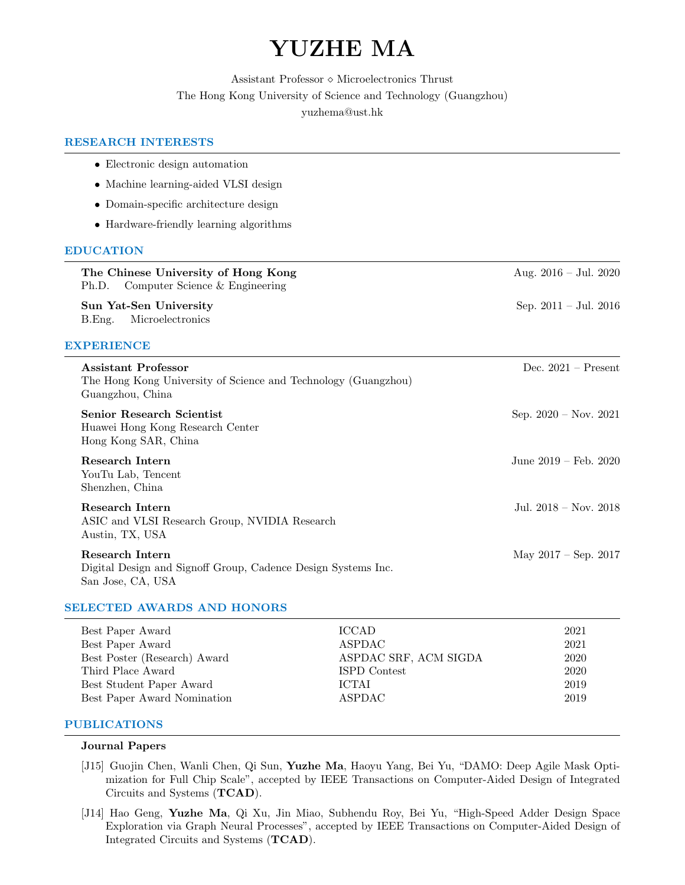# YUZHE MA

Assistant Professor  $\diamond$  Microelectronics Thrust The Hong Kong University of Science and Technology (Guangzhou) yuzhema@ust.hk

## RESEARCH INTERESTS

 $\overline{a}$ 

| • Electronic design automation                                                                                   |                                 |
|------------------------------------------------------------------------------------------------------------------|---------------------------------|
| • Machine learning-aided VLSI design                                                                             |                                 |
| • Domain-specific architecture design                                                                            |                                 |
| • Hardware-friendly learning algorithms                                                                          |                                 |
| <b>EDUCATION</b>                                                                                                 |                                 |
| The Chinese University of Hong Kong<br>Ph.D.<br>Computer Science & Engineering                                   | Aug. $2016 - \text{Jul. } 2020$ |
| Sun Yat-Sen University<br>Microelectronics<br>B.Eng.                                                             | Sep. $2011 - \text{Jul. } 2016$ |
| <b>EXPERIENCE</b>                                                                                                |                                 |
| <b>Assistant Professor</b><br>The Hong Kong University of Science and Technology (Guangzhou)<br>Guangzhou, China | Dec. $2021$ – Present           |
| <b>Senior Research Scientist</b><br>Huawei Hong Kong Research Center<br>Hong Kong SAR, China                     | Sep. $2020 - Nov. 2021$         |
| Research Intern<br>YouTu Lab, Tencent<br>Shenzhen, China                                                         | June $2019 - \text{Feb. } 2020$ |
| Research Intern<br>ASIC and VLSI Research Group, NVIDIA Research<br>Austin, TX, USA                              | Jul. $2018 - Nov. 2018$         |
| Research Intern<br>Digital Design and Signoff Group, Cadence Design Systems Inc.<br>San Jose, CA, USA            | May $2017 - \text{Sep. } 2017$  |

## SELECTED AWARDS AND HONORS

| Best Paper Award             | ICCAD.                | 2021 |
|------------------------------|-----------------------|------|
| Best Paper Award             | ASPDAC                | 2021 |
| Best Poster (Research) Award | ASPDAC SRF, ACM SIGDA | 2020 |
| Third Place Award            | ISPD Contest          | 2020 |
| Best Student Paper Award     | <b>ICTAL</b>          | 2019 |
| Best Paper Award Nomination  | ASPDAC                | 2019 |
|                              |                       |      |

## PUBLICATIONS

#### Journal Papers

- [J15] Guojin Chen, Wanli Chen, Qi Sun, Yuzhe Ma, Haoyu Yang, Bei Yu, "DAMO: Deep Agile Mask Optimization for Full Chip Scale", accepted by IEEE Transactions on Computer-Aided Design of Integrated Circuits and Systems (TCAD).
- [J14] Hao Geng, Yuzhe Ma, Qi Xu, Jin Miao, Subhendu Roy, Bei Yu, "High-Speed Adder Design Space Exploration via Graph Neural Processes", accepted by IEEE Transactions on Computer-Aided Design of Integrated Circuits and Systems (TCAD).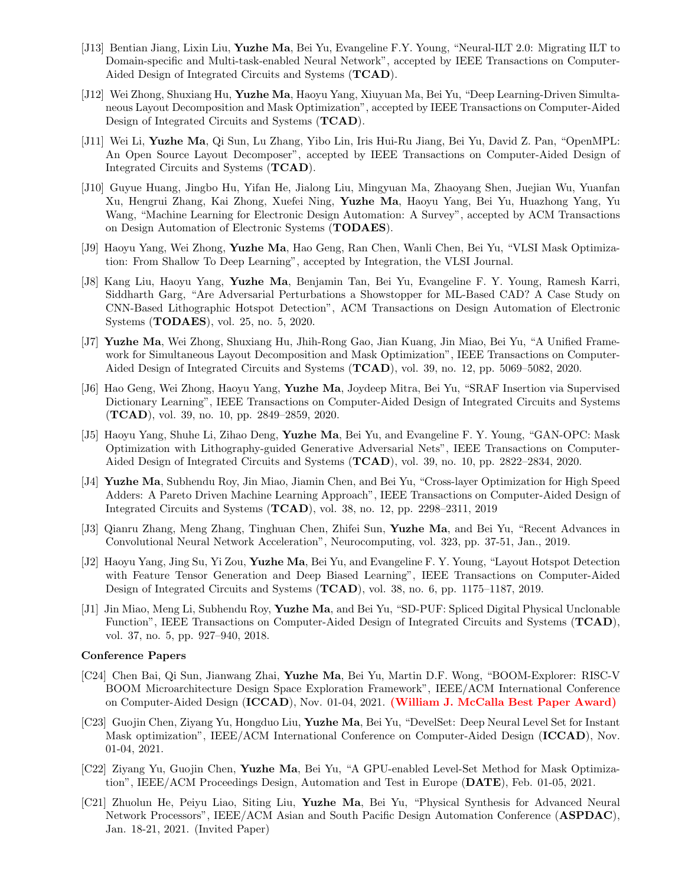- [J13] Bentian Jiang, Lixin Liu, Yuzhe Ma, Bei Yu, Evangeline F.Y. Young, "Neural-ILT 2.0: Migrating ILT to Domain-specific and Multi-task-enabled Neural Network", accepted by IEEE Transactions on Computer-Aided Design of Integrated Circuits and Systems (TCAD).
- [J12] Wei Zhong, Shuxiang Hu, Yuzhe Ma, Haoyu Yang, Xiuyuan Ma, Bei Yu, "Deep Learning-Driven Simultaneous Layout Decomposition and Mask Optimization", accepted by IEEE Transactions on Computer-Aided Design of Integrated Circuits and Systems (TCAD).
- [J11] Wei Li, Yuzhe Ma, Qi Sun, Lu Zhang, Yibo Lin, Iris Hui-Ru Jiang, Bei Yu, David Z. Pan, "OpenMPL: An Open Source Layout Decomposer", accepted by IEEE Transactions on Computer-Aided Design of Integrated Circuits and Systems (TCAD).
- [J10] Guyue Huang, Jingbo Hu, Yifan He, Jialong Liu, Mingyuan Ma, Zhaoyang Shen, Juejian Wu, Yuanfan Xu, Hengrui Zhang, Kai Zhong, Xuefei Ning, Yuzhe Ma, Haoyu Yang, Bei Yu, Huazhong Yang, Yu Wang, "Machine Learning for Electronic Design Automation: A Survey", accepted by ACM Transactions on Design Automation of Electronic Systems (TODAES).
- [J9] Haoyu Yang, Wei Zhong, Yuzhe Ma, Hao Geng, Ran Chen, Wanli Chen, Bei Yu, "VLSI Mask Optimization: From Shallow To Deep Learning", accepted by Integration, the VLSI Journal.
- [J8] Kang Liu, Haoyu Yang, Yuzhe Ma, Benjamin Tan, Bei Yu, Evangeline F. Y. Young, Ramesh Karri, Siddharth Garg, "Are Adversarial Perturbations a Showstopper for ML-Based CAD? A Case Study on CNN-Based Lithographic Hotspot Detection", ACM Transactions on Design Automation of Electronic Systems (TODAES), vol. 25, no. 5, 2020.
- [J7] Yuzhe Ma, Wei Zhong, Shuxiang Hu, Jhih-Rong Gao, Jian Kuang, Jin Miao, Bei Yu, "A Unified Framework for Simultaneous Layout Decomposition and Mask Optimization", IEEE Transactions on Computer-Aided Design of Integrated Circuits and Systems (TCAD), vol. 39, no. 12, pp. 5069–5082, 2020.
- [J6] Hao Geng, Wei Zhong, Haoyu Yang, Yuzhe Ma, Joydeep Mitra, Bei Yu, "SRAF Insertion via Supervised Dictionary Learning", IEEE Transactions on Computer-Aided Design of Integrated Circuits and Systems (TCAD), vol. 39, no. 10, pp. 2849–2859, 2020.
- [J5] Haoyu Yang, Shuhe Li, Zihao Deng, Yuzhe Ma, Bei Yu, and Evangeline F. Y. Young, "GAN-OPC: Mask Optimization with Lithography-guided Generative Adversarial Nets", IEEE Transactions on Computer-Aided Design of Integrated Circuits and Systems (TCAD), vol. 39, no. 10, pp. 2822–2834, 2020.
- [J4] Yuzhe Ma, Subhendu Roy, Jin Miao, Jiamin Chen, and Bei Yu, "Cross-layer Optimization for High Speed Adders: A Pareto Driven Machine Learning Approach", IEEE Transactions on Computer-Aided Design of Integrated Circuits and Systems (TCAD), vol. 38, no. 12, pp. 2298–2311, 2019
- [J3] Qianru Zhang, Meng Zhang, Tinghuan Chen, Zhifei Sun, Yuzhe Ma, and Bei Yu, "Recent Advances in Convolutional Neural Network Acceleration", Neurocomputing, vol. 323, pp. 37-51, Jan., 2019.
- [J2] Haoyu Yang, Jing Su, Yi Zou, Yuzhe Ma, Bei Yu, and Evangeline F. Y. Young, "Layout Hotspot Detection with Feature Tensor Generation and Deep Biased Learning", IEEE Transactions on Computer-Aided Design of Integrated Circuits and Systems (TCAD), vol. 38, no. 6, pp. 1175–1187, 2019.
- [J1] Jin Miao, Meng Li, Subhendu Roy, Yuzhe Ma, and Bei Yu, "SD-PUF: Spliced Digital Physical Unclonable Function", IEEE Transactions on Computer-Aided Design of Integrated Circuits and Systems (TCAD), vol. 37, no. 5, pp. 927–940, 2018.

#### Conference Papers

- [C24] Chen Bai, Qi Sun, Jianwang Zhai, Yuzhe Ma, Bei Yu, Martin D.F. Wong, "BOOM-Explorer: RISC-V BOOM Microarchitecture Design Space Exploration Framework", IEEE/ACM International Conference on Computer-Aided Design (ICCAD), Nov. 01-04, 2021. (William J. McCalla Best Paper Award)
- [C23] Guojin Chen, Ziyang Yu, Hongduo Liu, Yuzhe Ma, Bei Yu, "DevelSet: Deep Neural Level Set for Instant Mask optimization", IEEE/ACM International Conference on Computer-Aided Design (ICCAD), Nov. 01-04, 2021.
- [C22] Ziyang Yu, Guojin Chen, Yuzhe Ma, Bei Yu, "A GPU-enabled Level-Set Method for Mask Optimization", IEEE/ACM Proceedings Design, Automation and Test in Europe (DATE), Feb. 01-05, 2021.
- [C21] Zhuolun He, Peiyu Liao, Siting Liu, Yuzhe Ma, Bei Yu, "Physical Synthesis for Advanced Neural Network Processors", IEEE/ACM Asian and South Pacific Design Automation Conference (ASPDAC), Jan. 18-21, 2021. (Invited Paper)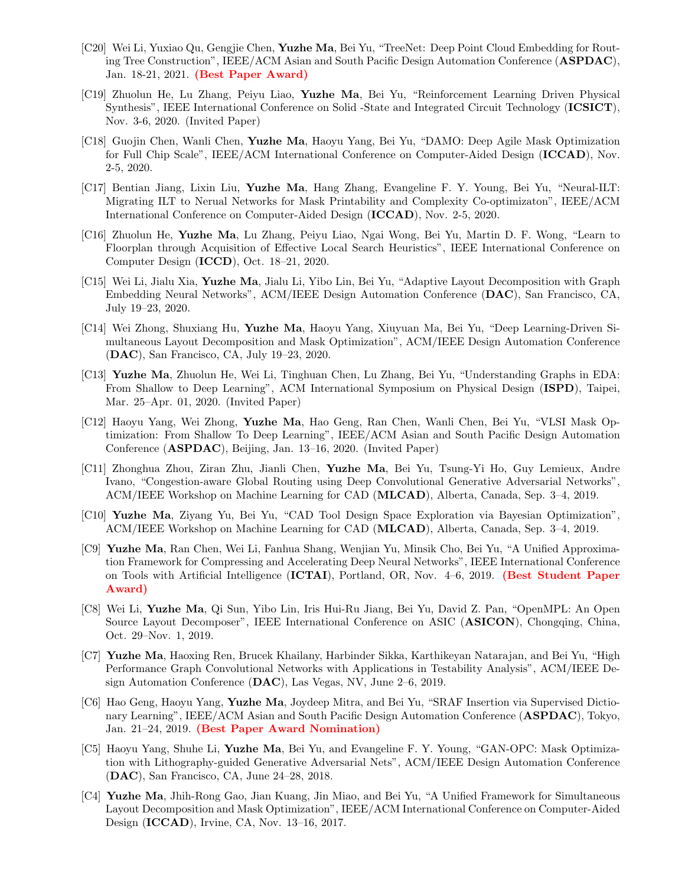- [C20] Wei Li, Yuxiao Qu, Gengjie Chen, Yuzhe Ma, Bei Yu, "TreeNet: Deep Point Cloud Embedding for Routing Tree Construction", IEEE/ACM Asian and South Pacific Design Automation Conference (ASPDAC), Jan. 18-21, 2021. (Best Paper Award)
- [C19] Zhuolun He, Lu Zhang, Peiyu Liao, Yuzhe Ma, Bei Yu, "Reinforcement Learning Driven Physical Synthesis", IEEE International Conference on Solid -State and Integrated Circuit Technology (ICSICT), Nov. 3-6, 2020. (Invited Paper)
- [C18] Guojin Chen, Wanli Chen, Yuzhe Ma, Haoyu Yang, Bei Yu, "DAMO: Deep Agile Mask Optimization for Full Chip Scale", IEEE/ACM International Conference on Computer-Aided Design (ICCAD), Nov. 2-5, 2020.
- [C17] Bentian Jiang, Lixin Liu, Yuzhe Ma, Hang Zhang, Evangeline F. Y. Young, Bei Yu, "Neural-ILT: Migrating ILT to Nerual Networks for Mask Printability and Complexity Co-optimizaton", IEEE/ACM International Conference on Computer-Aided Design (ICCAD), Nov. 2-5, 2020.
- [C16] Zhuolun He, Yuzhe Ma, Lu Zhang, Peiyu Liao, Ngai Wong, Bei Yu, Martin D. F. Wong, "Learn to Floorplan through Acquisition of Effective Local Search Heuristics", IEEE International Conference on Computer Design (ICCD), Oct. 18–21, 2020.
- [C15] Wei Li, Jialu Xia, Yuzhe Ma, Jialu Li, Yibo Lin, Bei Yu, "Adaptive Layout Decomposition with Graph Embedding Neural Networks", ACM/IEEE Design Automation Conference (DAC), San Francisco, CA, July 19–23, 2020.
- [C14] Wei Zhong, Shuxiang Hu, Yuzhe Ma, Haoyu Yang, Xiuyuan Ma, Bei Yu, "Deep Learning-Driven Simultaneous Layout Decomposition and Mask Optimization", ACM/IEEE Design Automation Conference (DAC), San Francisco, CA, July 19–23, 2020.
- [C13] Yuzhe Ma, Zhuolun He, Wei Li, Tinghuan Chen, Lu Zhang, Bei Yu, "Understanding Graphs in EDA: From Shallow to Deep Learning", ACM International Symposium on Physical Design (ISPD), Taipei, Mar. 25–Apr. 01, 2020. (Invited Paper)
- [C12] Haoyu Yang, Wei Zhong, Yuzhe Ma, Hao Geng, Ran Chen, Wanli Chen, Bei Yu, "VLSI Mask Optimization: From Shallow To Deep Learning", IEEE/ACM Asian and South Pacific Design Automation Conference (ASPDAC), Beijing, Jan. 13–16, 2020. (Invited Paper)
- [C11] Zhonghua Zhou, Ziran Zhu, Jianli Chen, Yuzhe Ma, Bei Yu, Tsung-Yi Ho, Guy Lemieux, Andre Ivano, "Congestion-aware Global Routing using Deep Convolutional Generative Adversarial Networks", ACM/IEEE Workshop on Machine Learning for CAD (MLCAD), Alberta, Canada, Sep. 3–4, 2019.
- [C10] Yuzhe Ma, Ziyang Yu, Bei Yu, "CAD Tool Design Space Exploration via Bayesian Optimization", ACM/IEEE Workshop on Machine Learning for CAD (MLCAD), Alberta, Canada, Sep. 3–4, 2019.
- [C9] Yuzhe Ma, Ran Chen, Wei Li, Fanhua Shang, Wenjian Yu, Minsik Cho, Bei Yu, "A Unified Approximation Framework for Compressing and Accelerating Deep Neural Networks", IEEE International Conference on Tools with Artificial Intelligence (ICTAI), Portland, OR, Nov. 4–6, 2019. (Best Student Paper Award)
- [C8] Wei Li, Yuzhe Ma, Qi Sun, Yibo Lin, Iris Hui-Ru Jiang, Bei Yu, David Z. Pan, "OpenMPL: An Open Source Layout Decomposer", IEEE International Conference on ASIC (ASICON), Chongqing, China, Oct. 29–Nov. 1, 2019.
- [C7] Yuzhe Ma, Haoxing Ren, Brucek Khailany, Harbinder Sikka, Karthikeyan Natarajan, and Bei Yu, "High Performance Graph Convolutional Networks with Applications in Testability Analysis", ACM/IEEE Design Automation Conference (DAC), Las Vegas, NV, June 2–6, 2019.
- [C6] Hao Geng, Haoyu Yang, Yuzhe Ma, Joydeep Mitra, and Bei Yu, "SRAF Insertion via Supervised Dictionary Learning", IEEE/ACM Asian and South Pacific Design Automation Conference (ASPDAC), Tokyo, Jan. 21–24, 2019. (Best Paper Award Nomination)
- [C5] Haoyu Yang, Shuhe Li, Yuzhe Ma, Bei Yu, and Evangeline F. Y. Young, "GAN-OPC: Mask Optimization with Lithography-guided Generative Adversarial Nets", ACM/IEEE Design Automation Conference (DAC), San Francisco, CA, June 24–28, 2018.
- [C4] Yuzhe Ma, Jhih-Rong Gao, Jian Kuang, Jin Miao, and Bei Yu, "A Unified Framework for Simultaneous Layout Decomposition and Mask Optimization", IEEE/ACM International Conference on Computer-Aided Design (ICCAD), Irvine, CA, Nov. 13–16, 2017.